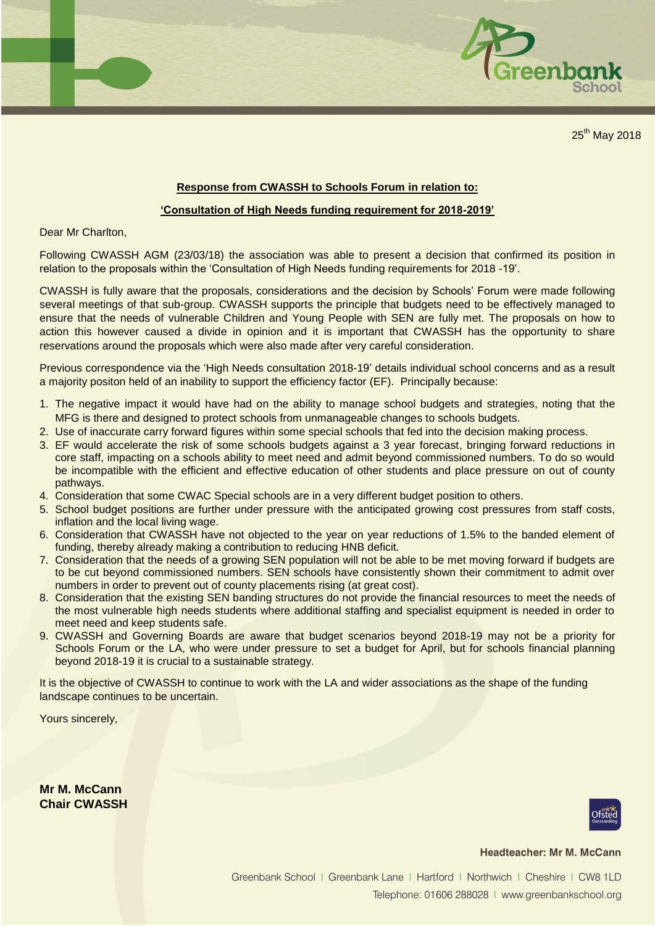

25<sup>th</sup> May 2018

## **Response from CWASSH to Schools Forum in relation to:**

## **'Consultation of High Needs funding requirement for 2018-2019'**

Dear Mr Charlton,

Following CWASSH AGM (23/03/18) the association was able to present a decision that confirmed its position in relation to the proposals within the 'Consultation of High Needs funding requirements for 2018 -19'.

CWASSH is fully aware that the proposals, considerations and the decision by Schools' Forum were made following several meetings of that sub-group. CWASSH supports the principle that budgets need to be effectively managed to ensure that the needs of vulnerable Children and Young People with SEN are fully met. The proposals on how to action this however caused a divide in opinion and it is important that CWASSH has the opportunity to share reservations around the proposals which were also made after very careful consideration.

Previous correspondence via the 'High Needs consultation 2018-19' details individual school concerns and as a result a majority positon held of an inability to support the efficiency factor (EF). Principally because:

- 1. The negative impact it would have had on the ability to manage school budgets and strategies, noting that the MFG is there and designed to protect schools from unmanageable changes to schools budgets.
- 2. Use of inaccurate carry forward figures within some special schools that fed into the decision making process.
- 3. EF would accelerate the risk of some schools budgets against a 3 year forecast, bringing forward reductions in core staff, impacting on a schools ability to meet need and admit beyond commissioned numbers. To do so would be incompatible with the efficient and effective education of other students and place pressure on out of county pathways.
- 4. Consideration that some CWAC Special schools are in a very different budget position to others.
- 5. School budget positions are further under pressure with the anticipated growing cost pressures from staff costs, inflation and the local living wage.
- 6. Consideration that CWASSH have not objected to the year on year reductions of 1.5% to the banded element of funding, thereby already making a contribution to reducing HNB deficit.
- 7. Consideration that the needs of a growing SEN population will not be able to be met moving forward if budgets are to be cut beyond commissioned numbers. SEN schools have consistently shown their commitment to admit over numbers in order to prevent out of county placements rising (at great cost).
- 8. Consideration that the existing SEN banding structures do not provide the financial resources to meet the needs of the most vulnerable high needs students where additional staffing and specialist equipment is needed in order to meet need and keep students safe.
- 9. CWASSH and Governing Boards are aware that budget scenarios beyond 2018-19 may not be a priority for Schools Forum or the LA, who were under pressure to set a budget for April, but for schools financial planning beyond 2018-19 it is crucial to a sustainable strategy.

It is the objective of CWASSH to continue to work with the LA and wider associations as the shape of the funding landscape continues to be uncertain.

Yours sincerely,

**Mr M. McCann Chair CWASSH**



## **Headteacher: Mr M. McCann**